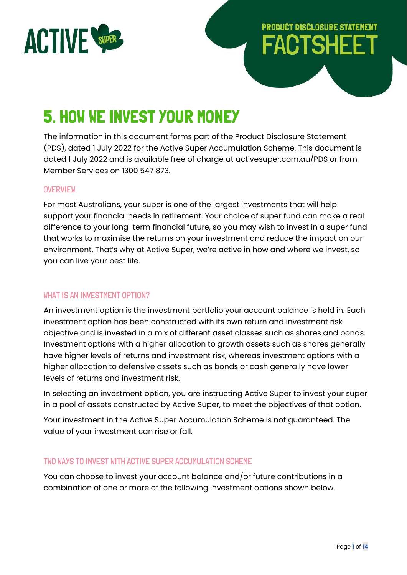

# **PRODUCT DISCLOSURE STATEMENT FACTSHEET**

# 5. HOW WE INVEST YOUR MONEY

The information in this document forms part of the Product Disclosure Statement (PDS), dated 1 July 2022 for the Active Super Accumulation Scheme. This document is dated 1 July 2022 and is available free of charge at activesuper.com.au/PDS or from Member Services on 1300 547 873.

#### **OVERVIEW**

For most Australians, your super is one of the largest investments that will help support your financial needs in retirement. Your choice of super fund can make a real difference to your long-term financial future, so you may wish to invest in a super fund that works to maximise the returns on your investment and reduce the impact on our environment. That's why at Active Super, we're active in how and where we invest, so you can live your best life.

#### WHAT IS AN INVESTMENT OPTION?

An investment option is the investment portfolio your account balance is held in. Each investment option has been constructed with its own return and investment risk objective and is invested in a mix of different asset classes such as shares and bonds. Investment options with a higher allocation to growth assets such as shares generally have higher levels of returns and investment risk, whereas investment options with a higher allocation to defensive assets such as bonds or cash generally have lower levels of returns and investment risk.

In selecting an investment option, you are instructing Active Super to invest your super in a pool of assets constructed by Active Super, to meet the objectives of that option.

Your investment in the Active Super Accumulation Scheme is not guaranteed. The value of your investment can rise or fall.

#### TWO WAYS TO INVEST WITH ACTIVE SUPER ACCUMULATION SCHEME

You can choose to invest your account balance and/or future contributions in a combination of one or more of the following investment options shown below.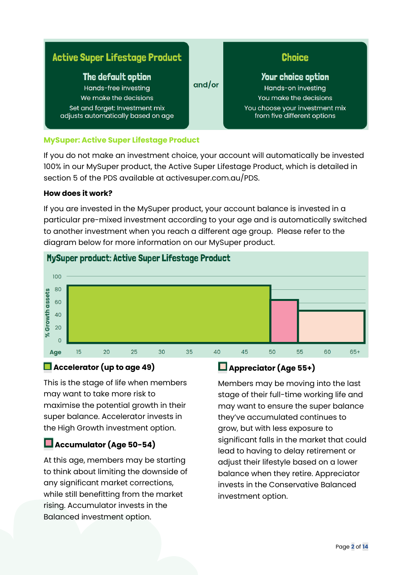| <b>Active Super Lifestage Product</b>                                                                                                       |        | <b>Choice</b>                                                                                                                       |
|---------------------------------------------------------------------------------------------------------------------------------------------|--------|-------------------------------------------------------------------------------------------------------------------------------------|
| The default option<br>Hands-free investing<br>We make the decisions<br>Set and forget: Investment mix<br>adjusts automatically based on age | and/or | Your choice option<br>Hands-on investing<br>You make the decisions<br>You choose your investment mix<br>from five different options |

#### **MySuper: Active Super Lifestage Product**

If you do not make an investment choice, your account will automatically be invested 100% in our MySuper product, the Active Super Lifestage Product, which is detailed in section 5 of the PDS available at activesuper.com.au/PDS.

#### **How does it work?**

If you are invested in the MySuper product, your account balance is invested in a particular pre-mixed investment according to your age and is automatically switched to another investment when you reach a different age group. Please refer to the diagram below for more information on our MySuper product.



### MySuper product: Active Super Lifestage Product

### **Accelerator (up to age 49)**

This is the stage of life when members may want to take more risk to maximise the potential growth in their super balance. Accelerator invests in the High Growth investment option.

### **Accumulator (Age 50-54)**

At this age, members may be starting to think about limiting the downside of any significant market corrections, while still benefitting from the market rising. Accumulator invests in the Balanced investment option.

## **Appreciator (Age 55+)**

Members may be moving into the last stage of their full-time working life and may want to ensure the super balance they've accumulated continues to grow, but with less exposure to significant falls in the market that could lead to having to delay retirement or adjust their lifestyle based on a lower balance when they retire. Appreciator invests in the Conservative Balanced investment option.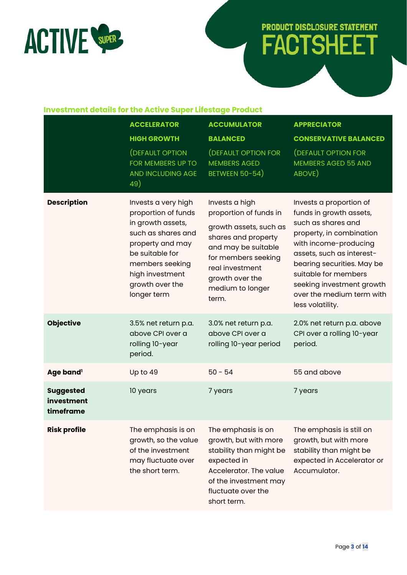

# **PRODUCT DISCLOSURE STATEMENT FACTSHEET**

#### **Investment details for the Active Super Lifestage Product**

|                                             | <b>ACCELERATOR</b>                                                                                                                                                                                   | <b>ACCUMULATOR</b>                                                                                                                                                                                         | <b>APPRECIATOR</b>                                                                                                                                                                                                                                                                             |
|---------------------------------------------|------------------------------------------------------------------------------------------------------------------------------------------------------------------------------------------------------|------------------------------------------------------------------------------------------------------------------------------------------------------------------------------------------------------------|------------------------------------------------------------------------------------------------------------------------------------------------------------------------------------------------------------------------------------------------------------------------------------------------|
|                                             | <b>HIGH GROWTH</b>                                                                                                                                                                                   | <b>BALANCED</b>                                                                                                                                                                                            | <b>CONSERVATIVE BALANCED</b>                                                                                                                                                                                                                                                                   |
|                                             | (DEFAULT OPTION<br>FOR MEMBERS UP TO<br>AND INCLUDING AGE<br>49)                                                                                                                                     | <b>(DEFAULT OPTION FOR</b><br><b>MEMBERS AGED</b><br><b>BETWEEN 50-54)</b>                                                                                                                                 | (DEFAULT OPTION FOR<br><b>MEMBERS AGED 55 AND</b><br>ABOVE)                                                                                                                                                                                                                                    |
| <b>Description</b>                          | Invests a very high<br>proportion of funds<br>in growth assets,<br>such as shares and<br>property and may<br>be suitable for<br>members seeking<br>high investment<br>growth over the<br>longer term | Invests a high<br>proportion of funds in<br>growth assets, such as<br>shares and property<br>and may be suitable<br>for members seeking<br>real investment<br>growth over the<br>medium to longer<br>term. | Invests a proportion of<br>funds in growth assets,<br>such as shares and<br>property, in combination<br>with income-producing<br>assets, such as interest-<br>bearing securities. May be<br>suitable for members<br>seeking investment growth<br>over the medium term with<br>less volatility. |
| <b>Objective</b>                            | 3.5% net return p.a.<br>above CPI over a<br>rolling 10-year<br>period.                                                                                                                               | 3.0% net return p.a.<br>above CPI over a<br>rolling 10-year period                                                                                                                                         | 2.0% net return p.a. above<br>CPI over a rolling 10-year<br>period.                                                                                                                                                                                                                            |
| Age band <sup>1</sup>                       | Up to 49                                                                                                                                                                                             | $50 - 54$                                                                                                                                                                                                  | 55 and above                                                                                                                                                                                                                                                                                   |
| <b>Suggested</b><br>investment<br>timeframe | 10 years                                                                                                                                                                                             | 7 years                                                                                                                                                                                                    | 7 years                                                                                                                                                                                                                                                                                        |
| <b>Risk profile</b>                         | The emphasis is on<br>growth, so the value<br>of the investment<br>may fluctuate over<br>the short term.                                                                                             | The emphasis is on<br>growth, but with more<br>stability than might be<br>expected in<br>Accelerator. The value<br>of the investment may<br>fluctuate over the<br>short term.                              | The emphasis is still on<br>growth, but with more<br>stability than might be<br>expected in Accelerator or<br>Accumulator.                                                                                                                                                                     |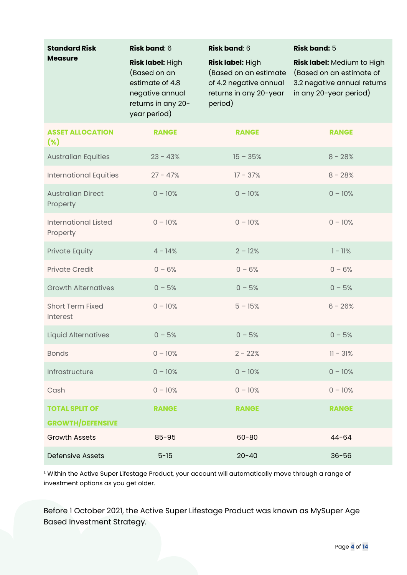| <b>Standard Risk</b><br><b>Measure</b>           | <b>Risk band: 6</b><br>Risk label: High                                                  | <b>Risk band: 6</b><br>Risk label: High                                              | <b>Risk band: 5</b><br>Risk label: Medium to High                                 |
|--------------------------------------------------|------------------------------------------------------------------------------------------|--------------------------------------------------------------------------------------|-----------------------------------------------------------------------------------|
|                                                  | (Based on an<br>estimate of 4.8<br>negative annual<br>returns in any 20-<br>year period) | (Based on an estimate<br>of 4.2 negative annual<br>returns in any 20-year<br>period) | (Based on an estimate of<br>3.2 negative annual returns<br>in any 20-year period) |
| <b>ASSET ALLOCATION</b><br>$(\% )$               | <b>RANGE</b>                                                                             | <b>RANGE</b>                                                                         | <b>RANGE</b>                                                                      |
| <b>Australian Equities</b>                       | $23 - 43%$                                                                               | $15 - 35%$                                                                           | $8 - 28%$                                                                         |
| <b>International Equities</b>                    | $27 - 47%$                                                                               | $17 - 37%$                                                                           | $8 - 28%$                                                                         |
| <b>Australian Direct</b><br>Property             | $0 - 10%$                                                                                | $0 - 10%$                                                                            | $0 - 10%$                                                                         |
| <b>International Listed</b><br>Property          | $0 - 10%$                                                                                | $0 - 10%$                                                                            | $0 - 10%$                                                                         |
| <b>Private Equity</b>                            | $4 - 14%$                                                                                | $2 - 12%$                                                                            | $1 - 11%$                                                                         |
| <b>Private Credit</b>                            | $0 - 6%$                                                                                 | $0 - 6%$                                                                             | $0 - 6%$                                                                          |
| <b>Growth Alternatives</b>                       | $0 - 5%$                                                                                 | $0 - 5%$                                                                             | $0 - 5%$                                                                          |
| <b>Short Term Fixed</b><br>Interest              | $0 - 10%$                                                                                | $5 - 15%$                                                                            | $6 - 26%$                                                                         |
| <b>Liquid Alternatives</b>                       | $0 - 5%$                                                                                 | $0 - 5%$                                                                             | $0 - 5%$                                                                          |
| <b>Bonds</b>                                     | $0 - 10%$                                                                                | $2 - 22%$                                                                            | $11 - 31%$                                                                        |
| Infrastructure                                   | $0 - 10%$                                                                                | $0 - 10%$                                                                            | $0 - 10%$                                                                         |
| Cash                                             | $0 - 10%$                                                                                | $0 - 10%$                                                                            | $0 - 10%$                                                                         |
| <b>TOTAL SPLIT OF</b><br><b>GROWTH/DEFENSIVE</b> | <b>RANGE</b>                                                                             | <b>RANGE</b>                                                                         | <b>RANGE</b>                                                                      |
| <b>Growth Assets</b>                             | $85 - 95$                                                                                | $60 - 80$                                                                            | $44 - 64$                                                                         |
| <b>Defensive Assets</b>                          | $5 - 15$                                                                                 | $20 - 40$                                                                            | $36 - 56$                                                                         |

<sup>1.</sup> Within the Active Super Lifestage Product, your account will automatically move through a range of investment options as you get older.

Before 1 October 2021, the Active Super Lifestage Product was known as MySuper Age Based Investment Strategy.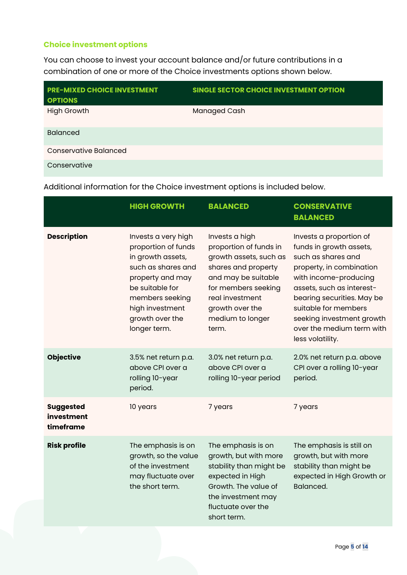#### **Choice investment options**

You can choose to invest your account balance and/or future contributions in a combination of one or more of the Choice investments options shown below.

| <b>PRE-MIXED CHOICE INVESTMENT</b><br><b>OPTIONS</b> | <b>SINGLE SECTOR CHOICE INVESTMENT OPTION</b> |
|------------------------------------------------------|-----------------------------------------------|
| <b>High Growth</b>                                   | <b>Managed Cash</b>                           |
| <b>Balanced</b>                                      |                                               |
| Conservative Balanced                                |                                               |
| Conservative                                         |                                               |

Additional information for the Choice investment options is included below.

|                                             | <b>HIGH GROWTH</b>                                                                                                                                                                                    | <b>BALANCED</b>                                                                                                                                                                                            | <b>CONSERVATIVE</b><br><b>BALANCED</b>                                                                                                                                                                                                                                                         |
|---------------------------------------------|-------------------------------------------------------------------------------------------------------------------------------------------------------------------------------------------------------|------------------------------------------------------------------------------------------------------------------------------------------------------------------------------------------------------------|------------------------------------------------------------------------------------------------------------------------------------------------------------------------------------------------------------------------------------------------------------------------------------------------|
| <b>Description</b>                          | Invests a very high<br>proportion of funds<br>in growth assets,<br>such as shares and<br>property and may<br>be suitable for<br>members seeking<br>high investment<br>growth over the<br>longer term. | Invests a high<br>proportion of funds in<br>growth assets, such as<br>shares and property<br>and may be suitable<br>for members seeking<br>real investment<br>growth over the<br>medium to longer<br>term. | Invests a proportion of<br>funds in growth assets,<br>such as shares and<br>property, in combination<br>with income-producing<br>assets, such as interest-<br>bearing securities. May be<br>suitable for members<br>seeking investment growth<br>over the medium term with<br>less volatility. |
| <b>Objective</b>                            | 3.5% net return p.a.<br>above CPI over a<br>rolling 10-year<br>period.                                                                                                                                | 3.0% net return p.a.<br>above CPI over a<br>rolling 10-year period                                                                                                                                         | 2.0% net return p.a. above<br>CPI over a rolling 10-year<br>period.                                                                                                                                                                                                                            |
| <b>Suggested</b><br>investment<br>timeframe | 10 years                                                                                                                                                                                              | 7 years                                                                                                                                                                                                    | 7 years                                                                                                                                                                                                                                                                                        |
| <b>Risk profile</b>                         | The emphasis is on<br>growth, so the value<br>of the investment<br>may fluctuate over<br>the short term.                                                                                              | The emphasis is on<br>growth, but with more<br>stability than might be<br>expected in High<br>Growth. The value of<br>the investment may<br>fluctuate over the<br>short term.                              | The emphasis is still on<br>growth, but with more<br>stability than might be<br>expected in High Growth or<br>Balanced.                                                                                                                                                                        |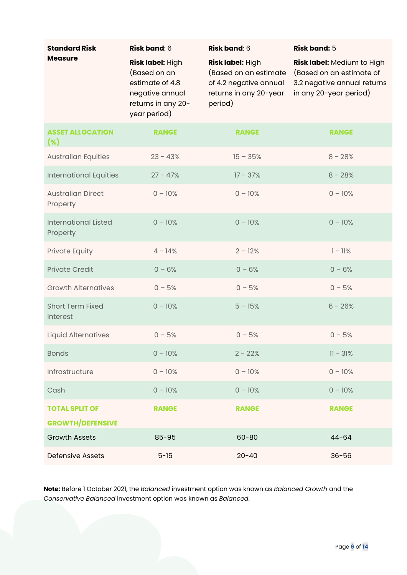| <b>Standard Risk</b>                            | <b>Risk band: 6</b>                                                                                          | <b>Risk band: 6</b>                                                                                      | <b>Risk band: 5</b>                                                                                             |
|-------------------------------------------------|--------------------------------------------------------------------------------------------------------------|----------------------------------------------------------------------------------------------------------|-----------------------------------------------------------------------------------------------------------------|
| <b>Measure</b>                                  | Risk label: High<br>(Based on an<br>estimate of 4.8<br>negative annual<br>returns in any 20-<br>year period) | Risk label: High<br>(Based on an estimate<br>of 4.2 negative annual<br>returns in any 20-year<br>period) | Risk label: Medium to High<br>(Based on an estimate of<br>3.2 negative annual returns<br>in any 20-year period) |
| <b>ASSET ALLOCATION</b><br>$(\%)$               | <b>RANGE</b>                                                                                                 | <b>RANGE</b>                                                                                             | <b>RANGE</b>                                                                                                    |
| <b>Australian Equities</b>                      | $23 - 43%$                                                                                                   | $15 - 35%$                                                                                               | $8 - 28%$                                                                                                       |
| <b>International Equities</b>                   | $27 - 47%$                                                                                                   | $17 - 37%$                                                                                               | $8 - 28%$                                                                                                       |
| <b>Australian Direct</b><br>Property            | $0 - 10%$                                                                                                    | $0 - 10%$                                                                                                | $0 - 10%$                                                                                                       |
| <b>International Listed</b><br>Property         | $0 - 10%$                                                                                                    | $0 - 10%$                                                                                                | $0 - 10%$                                                                                                       |
| Private Equity                                  | $4 - 14%$                                                                                                    | $2 - 12%$                                                                                                | $1 - 11%$                                                                                                       |
| <b>Private Credit</b>                           | $0 - 6%$                                                                                                     | $0 - 6%$                                                                                                 | $0 - 6%$                                                                                                        |
| <b>Growth Alternatives</b>                      | $0 - 5%$                                                                                                     | $0 - 5%$                                                                                                 | $0 - 5%$                                                                                                        |
| <b>Short Term Fixed</b><br>Interest             | $0 - 10%$                                                                                                    | $5 - 15%$                                                                                                | $6 - 26%$                                                                                                       |
| <b>Liquid Alternatives</b>                      | $0 - 5%$                                                                                                     | $0 - 5%$                                                                                                 | $0 - 5%$                                                                                                        |
| <b>Bonds</b>                                    | $0 - 10%$                                                                                                    | $2 - 22%$                                                                                                | $11 - 31%$                                                                                                      |
| Infrastructure                                  | $0 - 10%$                                                                                                    | $0 - 10%$                                                                                                | $0 - 10%$                                                                                                       |
| Cash                                            | $0 - 10%$                                                                                                    | $0 - 10%$                                                                                                | $0 - 10%$                                                                                                       |
| <b>TOTAL SPLIT OF</b>                           | <b>RANGE</b>                                                                                                 | <b>RANGE</b>                                                                                             | <b>RANGE</b>                                                                                                    |
| <b>GROWTH/DEFENSIVE</b><br><b>Growth Assets</b> | $85 - 95$                                                                                                    | $60 - 80$                                                                                                | $44 - 64$                                                                                                       |
| <b>Defensive Assets</b>                         | $5 - 15$                                                                                                     | $20 - 40$                                                                                                | $36 - 56$                                                                                                       |

**Note:** Before 1 October 2021, the *Balanced* investment option was known as *Balanced Growth* and the *Conservative Balanced* investment option was known as *Balanced*.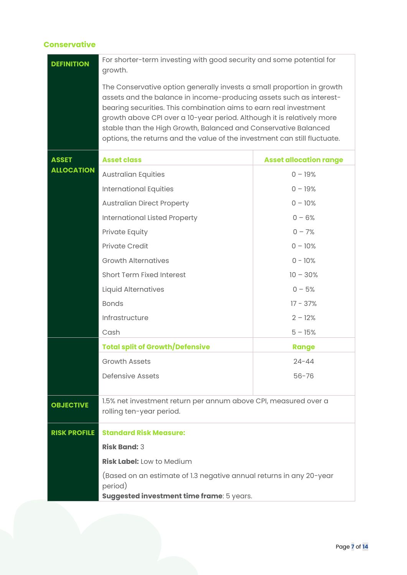#### **Conservative**

| <b>DEFINITION</b>   | For shorter-term investing with good security and some potential for<br>growth.                                                                                                                                                                                                                                                                                                                                                              |                               |  |
|---------------------|----------------------------------------------------------------------------------------------------------------------------------------------------------------------------------------------------------------------------------------------------------------------------------------------------------------------------------------------------------------------------------------------------------------------------------------------|-------------------------------|--|
|                     | The Conservative option generally invests a small proportion in growth<br>assets and the balance in income-producing assets such as interest-<br>bearing securities. This combination aims to earn real investment<br>growth above CPI over a 10-year period. Although it is relatively more<br>stable than the High Growth, Balanced and Conservative Balanced<br>options, the returns and the value of the investment can still fluctuate. |                               |  |
| <b>ASSET</b>        | <b>Asset class</b>                                                                                                                                                                                                                                                                                                                                                                                                                           | <b>Asset allocation range</b> |  |
| <b>ALLOCATION</b>   | <b>Australian Equities</b>                                                                                                                                                                                                                                                                                                                                                                                                                   | $0 - 19%$                     |  |
|                     | <b>International Equities</b>                                                                                                                                                                                                                                                                                                                                                                                                                | $0 - 19%$                     |  |
|                     | <b>Australian Direct Property</b>                                                                                                                                                                                                                                                                                                                                                                                                            | $0 - 10%$                     |  |
|                     | <b>International Listed Property</b>                                                                                                                                                                                                                                                                                                                                                                                                         | $0 - 6%$                      |  |
|                     | Private Equity                                                                                                                                                                                                                                                                                                                                                                                                                               | $0 - 7%$                      |  |
|                     | <b>Private Credit</b>                                                                                                                                                                                                                                                                                                                                                                                                                        | $0 - 10%$                     |  |
|                     | <b>Growth Alternatives</b>                                                                                                                                                                                                                                                                                                                                                                                                                   | $0 - 10%$                     |  |
|                     | <b>Short Term Fixed Interest</b>                                                                                                                                                                                                                                                                                                                                                                                                             | $10 - 30%$                    |  |
|                     | <b>Liquid Alternatives</b>                                                                                                                                                                                                                                                                                                                                                                                                                   | $0 - 5%$                      |  |
|                     | <b>Bonds</b>                                                                                                                                                                                                                                                                                                                                                                                                                                 | $17 - 37%$                    |  |
|                     | Infrastructure                                                                                                                                                                                                                                                                                                                                                                                                                               | $2 - 12%$                     |  |
|                     | Cash                                                                                                                                                                                                                                                                                                                                                                                                                                         | $5 - 15%$                     |  |
|                     | <b>Total split of Growth/Defensive</b>                                                                                                                                                                                                                                                                                                                                                                                                       | <b>Range</b>                  |  |
|                     | <b>Growth Assets</b>                                                                                                                                                                                                                                                                                                                                                                                                                         | 24-44                         |  |
|                     | <b>Defensive Assets</b>                                                                                                                                                                                                                                                                                                                                                                                                                      | $56 - 76$                     |  |
| <b>OBJECTIVE</b>    | 1.5% net investment return per annum above CPI, measured over a<br>rolling ten-year period.                                                                                                                                                                                                                                                                                                                                                  |                               |  |
| <b>RISK PROFILE</b> | <b>Standard Risk Measure:</b>                                                                                                                                                                                                                                                                                                                                                                                                                |                               |  |
|                     | <b>Risk Band: 3</b>                                                                                                                                                                                                                                                                                                                                                                                                                          |                               |  |
|                     | <b>Risk Label:</b> Low to Medium                                                                                                                                                                                                                                                                                                                                                                                                             |                               |  |
|                     | (Based on an estimate of 1.3 negative annual returns in any 20-year<br>period)                                                                                                                                                                                                                                                                                                                                                               |                               |  |
|                     | Suggested investment time frame: 5 years.                                                                                                                                                                                                                                                                                                                                                                                                    |                               |  |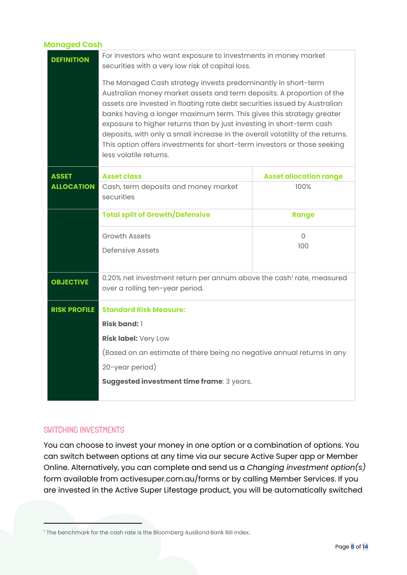#### **Managed Cash**

| <b>DEFINITION</b>   | For investors who want exposure to investments in money market<br>securities with a very low risk of capital loss.<br>The Managed Cash strategy invests predominantly in short-term<br>Australian money market assets and term deposits. A proportion of the<br>assets are invested in floating rate debt securities issued by Australian<br>banks having a longer maximum term. This gives this strategy greater<br>exposure to higher returns than by just investing in short-term cash<br>deposits, with only a small increase in the overall volatility of the returns.<br>This option offers investments for short-term investors or those seeking<br>less volatile returns. |                               |  |
|---------------------|-----------------------------------------------------------------------------------------------------------------------------------------------------------------------------------------------------------------------------------------------------------------------------------------------------------------------------------------------------------------------------------------------------------------------------------------------------------------------------------------------------------------------------------------------------------------------------------------------------------------------------------------------------------------------------------|-------------------------------|--|
| <b>ASSET</b>        | <b>Asset class</b>                                                                                                                                                                                                                                                                                                                                                                                                                                                                                                                                                                                                                                                                | <b>Asset allocation range</b> |  |
| <b>ALLOCATION</b>   | Cash, term deposits and money market<br>securities                                                                                                                                                                                                                                                                                                                                                                                                                                                                                                                                                                                                                                | 100%                          |  |
|                     | <b>Total split of Growth/Defensive</b>                                                                                                                                                                                                                                                                                                                                                                                                                                                                                                                                                                                                                                            | <b>Range</b>                  |  |
|                     | <b>Growth Assets</b><br>Defensive Assets                                                                                                                                                                                                                                                                                                                                                                                                                                                                                                                                                                                                                                          | $\Omega$<br>100               |  |
| <b>OBJECTIVE</b>    | 0.20% net investment return per annum above the cash <sup>1</sup> rate, measured<br>over a rolling ten-year period.                                                                                                                                                                                                                                                                                                                                                                                                                                                                                                                                                               |                               |  |
| <b>RISK PROFILE</b> | <b>Standard Risk Measure:</b>                                                                                                                                                                                                                                                                                                                                                                                                                                                                                                                                                                                                                                                     |                               |  |
|                     | <b>Risk band: 1</b>                                                                                                                                                                                                                                                                                                                                                                                                                                                                                                                                                                                                                                                               |                               |  |
|                     | Risk label: Very Low                                                                                                                                                                                                                                                                                                                                                                                                                                                                                                                                                                                                                                                              |                               |  |
|                     | (Based on an estimate of there being no negative annual returns in any                                                                                                                                                                                                                                                                                                                                                                                                                                                                                                                                                                                                            |                               |  |
|                     | 20-year period)                                                                                                                                                                                                                                                                                                                                                                                                                                                                                                                                                                                                                                                                   |                               |  |
|                     | Suggested investment time frame: 3 years.                                                                                                                                                                                                                                                                                                                                                                                                                                                                                                                                                                                                                                         |                               |  |

#### SWITCHING INVESTMENTS

You can choose to invest your money in one option or a combination of options. You can switch between options at any time via our secure Active Super app or Member Online. Alternatively, you can complete and send us a *Changing investment option(s)* form available from activesuper.com.au/forms or by calling Member Services. If you are invested in the Active Super Lifestage product, you will be automatically switched

<sup>&</sup>lt;sup>1</sup> The benchmark for the cash rate is the Bloomberg AusBond Bank Bill Index.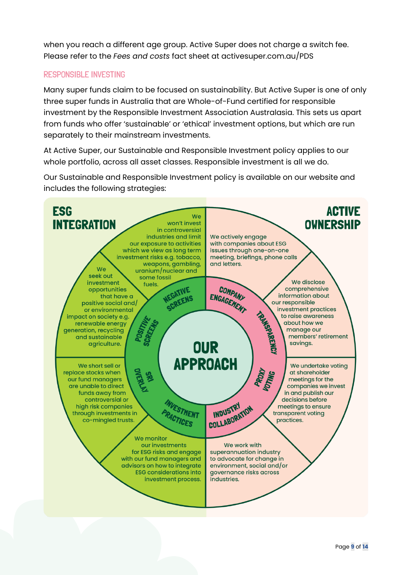when you reach a different age group. Active Super does not charge a switch fee. Please refer to the *Fees and costs* fact sheet at activesuper.com.au/PDS

#### RESPONSIBLE INVESTING

Many super funds claim to be focused on sustainability. But Active Super is one of only three super funds in Australia that are Whole-of-Fund certified for responsible investment by the Responsible Investment Association Australasia. This sets us apart from funds who offer 'sustainable' or 'ethical' investment options, but which are run separately to their mainstream investments.

At Active Super, our Sustainable and Responsible Investment policy applies to our whole portfolio, across all asset classes. Responsible investment is all we do.

Our Sustainable and Responsible Investment policy is available on our website and includes the following strategies:

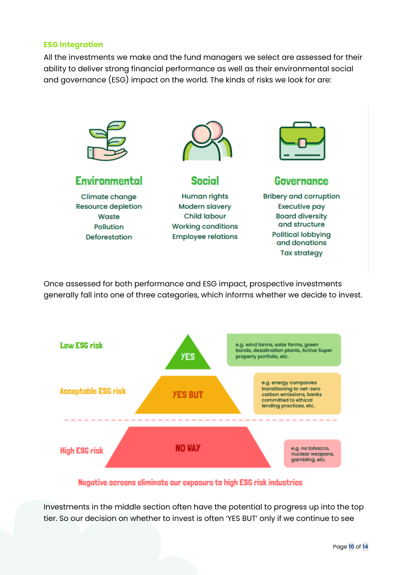#### **ESG integration**

All the investments we make and the fund managers we select are assessed for their ability to deliver strong financial performance as well as their environmental social and governance (ESG) impact on the world. The kinds of risks we look for are:



Once assessed for both performance and ESG impact, prospective investments generally fall into one of three categories, which informs whether we decide to invest.



Negative screens eliminate our exposure to high ESG risk industries

Investments in the middle section often have the potential to progress up into the top tier. So our decision on whether to invest is often 'YES BUT' only if we continue to see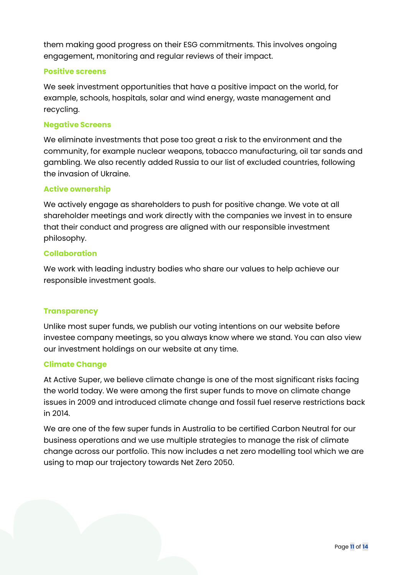them making good progress on their ESG commitments. This involves ongoing engagement, monitoring and regular reviews of their impact.

#### **Positive screens**

We seek investment opportunities that have a positive impact on the world, for example, schools, hospitals, solar and wind energy, waste management and recycling.

#### **Negative Screens**

We eliminate investments that pose too great a risk to the environment and the community, for example nuclear weapons, tobacco manufacturing, oil tar sands and gambling. We also recently added Russia to our list of excluded countries, following the invasion of Ukraine.

#### **Active ownership**

We actively engage as shareholders to push for positive change. We vote at all shareholder meetings and work directly with the companies we invest in to ensure that their conduct and progress are aligned with our responsible investment philosophy.

#### **Collaboration**

We work with leading industry bodies who share our values to help achieve our responsible investment goals.

#### **Transparency**

Unlike most super funds, we publish our voting intentions on our website before investee company meetings, so you always know where we stand. You can also view our investment holdings on our website at any time.

#### **Climate Change**

At Active Super, we believe climate change is one of the most significant risks facing the world today. We were among the first super funds to move on climate change issues in 2009 and introduced climate change and fossil fuel reserve restrictions back in 2014.

We are one of the few super funds in Australia to be certified Carbon Neutral for our business operations and we use multiple strategies to manage the risk of climate change across our portfolio. This now includes a net zero modelling tool which we are using to map our trajectory towards Net Zero 2050.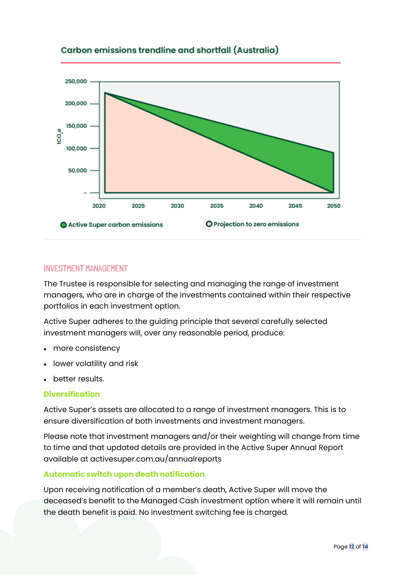

#### Carbon emissions trendline and shortfall (Australia)

#### INVESTMENT MANAGEMENT

The Trustee is responsible for selecting and managing the range of investment managers, who are in charge of the investments contained within their respective portfolios in each investment option.

Active Super adheres to the guiding principle that several carefully selected investment managers will, over any reasonable period, produce:

- more consistency
- lower volatility and risk
- better results.

#### **Diversification**

Active Super's assets are allocated to a range of investment managers. This is to ensure diversification of both investments and investment managers.

Please note that investment managers and/or their weighting will change from time to time and that updated details are provided in the Active Super Annual Report available at activesuper.com.au/annualreports

#### **Automatic switch upon death notification**

Upon receiving notification of a member's death, Active Super will move the deceased's benefit to the Managed Cash investment option where it will remain until the death benefit is paid. No investment switching fee is charged.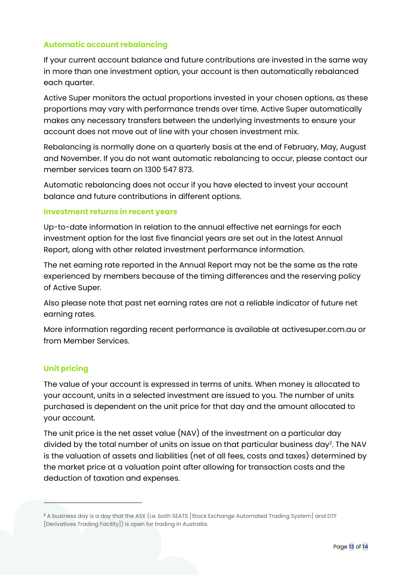#### **Automatic account rebalancing**

If your current account balance and future contributions are invested in the same way in more than one investment option, your account is then automatically rebalanced each quarter.

Active Super monitors the actual proportions invested in your chosen options, as these proportions may vary with performance trends over time. Active Super automatically makes any necessary transfers between the underlying investments to ensure your account does not move out of line with your chosen investment mix.

Rebalancing is normally done on a quarterly basis at the end of February, May, August and November. If you do not want automatic rebalancing to occur, please contact our member services team on 1300 547 873.

Automatic rebalancing does not occur if you have elected to invest your account balance and future contributions in different options.

#### **Investment returns in recent years**

Up-to-date information in relation to the annual effective net earnings for each investment option for the last five financial years are set out in the latest Annual Report, along with other related investment performance information.

The net earning rate reported in the Annual Report may not be the same as the rate experienced by members because of the timing differences and the reserving policy of Active Super.

Also please note that past net earning rates are not a reliable indicator of future net earning rates.

More information regarding recent performance is available at activesuper.com.au or from Member Services.

#### **Unit pricing**

The value of your account is expressed in terms of units. When money is allocated to your account, units in a selected investment are issued to you. The number of units purchased is dependent on the unit price for that day and the amount allocated to your account.

The unit price is the net asset value (NAV) of the investment on a particular day divided by the total number of units on issue on that particular business day $^{\text{2}}$ . The NAV is the valuation of assets and liabilities (net of all fees, costs and taxes) determined by the market price at a valuation point after allowing for transaction costs and the deduction of taxation and expenses.

<sup>&</sup>lt;sup>2</sup> A business day is a day that the ASX (i.e. both SEATS [Stock Exchange Automated Trading System] and DTF [Derivatives Trading Facility]) is open for trading in Australia.